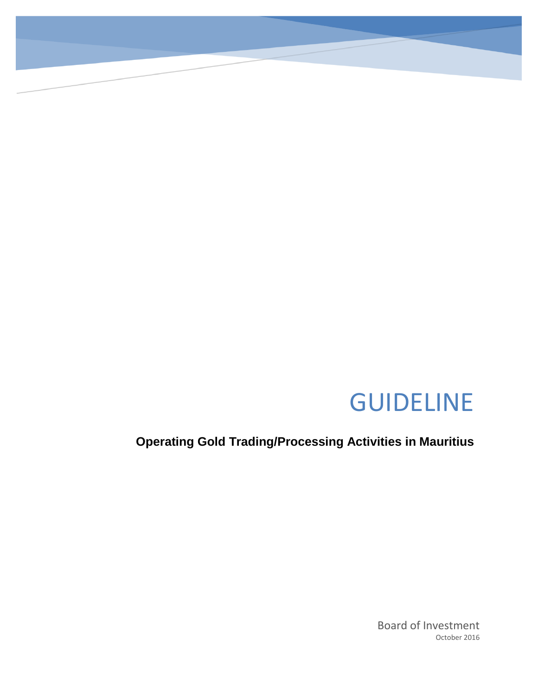# GUIDELINE

**Operating Gold Trading/Processing Activities in Mauritius**

Board of Investment October 2016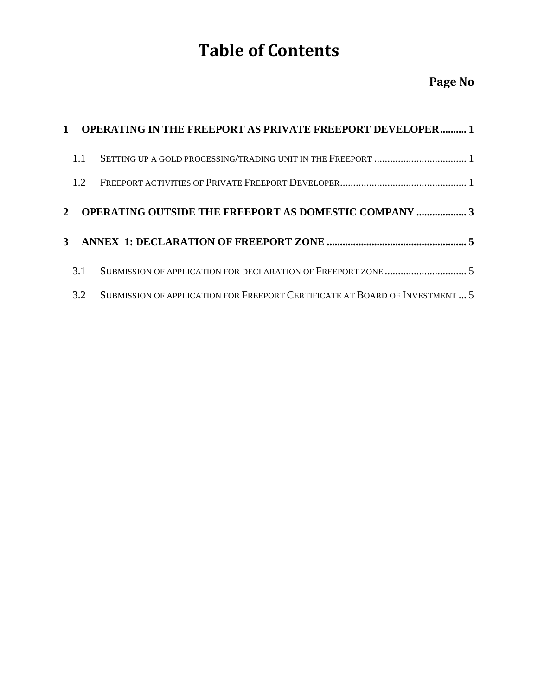## **Table of Contents**

### **Page No**

|                  | 1 OPERATING IN THE FREEPORT AS PRIVATE FREEPORT DEVELOPER 1                  |
|------------------|------------------------------------------------------------------------------|
| 1.1              |                                                                              |
| 1.2 <sub>1</sub> |                                                                              |
| $2^{\circ}$      | <b>OPERATING OUTSIDE THE FREEPORT AS DOMESTIC COMPANY  3</b>                 |
|                  |                                                                              |
| 3.1              |                                                                              |
| 3.2              | SUBMISSION OF APPLICATION FOR FREEPORT CERTIFICATE AT BOARD OF INVESTMENT  5 |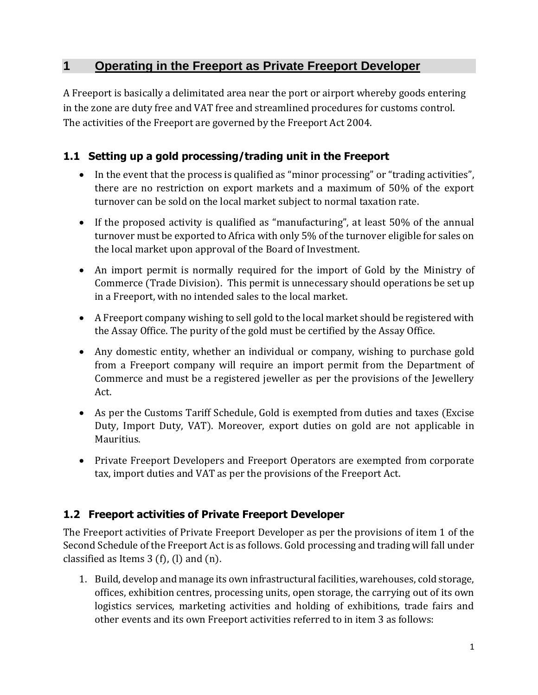#### <span id="page-2-0"></span>**1 Operating in the Freeport as Private Freeport Developer**

A Freeport is basically a delimitated area near the port or airport whereby goods entering in the zone are duty free and VAT free and streamlined procedures for customs control. The activities of the Freeport are governed by the Freeport Act 2004.

#### <span id="page-2-1"></span>**1.1 Setting up a gold processing/trading unit in the Freeport**

- In the event that the process is qualified as "minor processing" or "trading activities", there are no restriction on export markets and a maximum of 50% of the export turnover can be sold on the local market subject to normal taxation rate.
- If the proposed activity is qualified as "manufacturing", at least 50% of the annual turnover must be exported to Africa with only 5% of the turnover eligible for sales on the local market upon approval of the Board of Investment.
- An import permit is normally required for the import of Gold by the Ministry of Commerce (Trade Division). This permit is unnecessary should operations be set up in a Freeport, with no intended sales to the local market.
- A Freeport company wishing to sell gold to the local market should be registered with the Assay Office. The purity of the gold must be certified by the Assay Office.
- Any domestic entity, whether an individual or company, wishing to purchase gold from a Freeport company will require an import permit from the Department of Commerce and must be a registered jeweller as per the provisions of the Jewellery Act.
- As per the Customs Tariff Schedule, Gold is exempted from duties and taxes (Excise Duty, Import Duty, VAT). Moreover, export duties on gold are not applicable in Mauritius.
- Private Freeport Developers and Freeport Operators are exempted from corporate tax, import duties and VAT as per the provisions of the Freeport Act.

#### <span id="page-2-2"></span>**1.2 Freeport activities of Private Freeport Developer**

The Freeport activities of Private Freeport Developer as per the provisions of item 1 of the Second Schedule of the Freeport Act is as follows. Gold processing and trading will fall under classified as Items  $3(f)$ , (I) and (n).

1. Build, develop and manage its own infrastructural facilities, warehouses, cold storage, offices, exhibition centres, processing units, open storage, the carrying out of its own logistics services, marketing activities and holding of exhibitions, trade fairs and other events and its own Freeport activities referred to in item 3 as follows: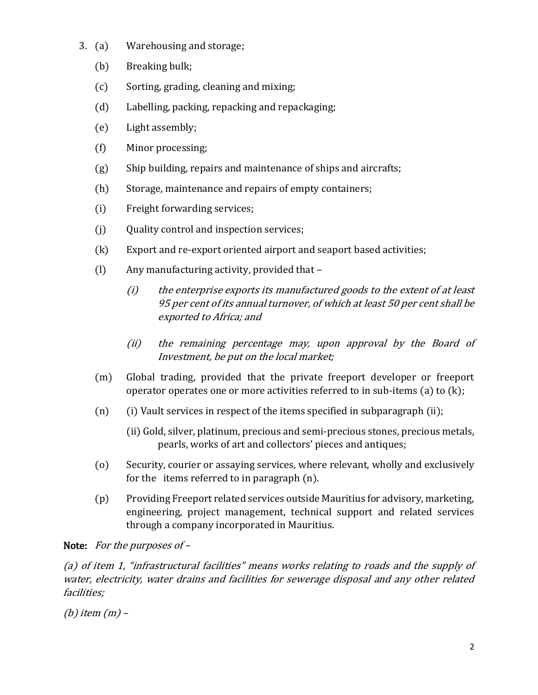- 3. (a) Warehousing and storage;
	- (b) Breaking bulk;
	- (c) Sorting, grading, cleaning and mixing;
	- (d) Labelling, packing, repacking and repackaging;
	- (e) Light assembly;
	- (f) Minor processing;
	- (g) Ship building, repairs and maintenance of ships and aircrafts;
	- (h) Storage, maintenance and repairs of empty containers;
	- (i) Freight forwarding services;
	- (j) Quality control and inspection services;
	- (k) Export and re-export oriented airport and seaport based activities;
	- (l) Any manufacturing activity, provided that
		- (i) the enterprise exports its manufactured goods to the extent of at least 95 per cent of its annual turnover, of which at least 50 per cent shall be exported to Africa; and
		- (ii) the remaining percentage may, upon approval by the Board of Investment, be put on the local market;
	- (m) Global trading, provided that the private freeport developer or freeport operator operates one or more activities referred to in sub-items (a) to (k);
	- (n) (i) Vault services in respect of the items specified in subparagraph (ii);
		- (ii) Gold, silver, platinum, precious and semi-precious stones, precious metals, pearls, works of art and collectors' pieces and antiques;
	- (o) Security, courier or assaying services, where relevant, wholly and exclusively for the items referred to in paragraph (n).
	- (p) Providing Freeport related services outside Mauritius for advisory, marketing, engineering, project management, technical support and related services through a company incorporated in Mauritius.

#### Note: For the purposes of –

(a) of item 1, "infrastructural facilities" means works relating to roads and the supply of water, electricity, water drains and facilities for sewerage disposal and any other related facilities;

(b) item (m) –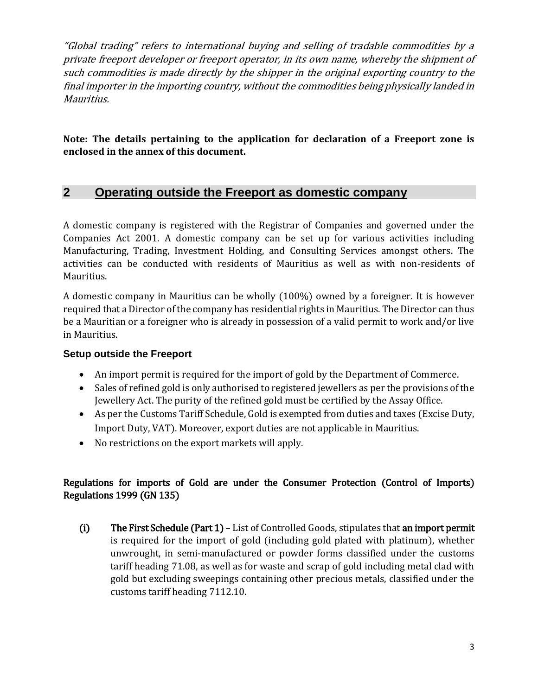"Global trading" refers to international buying and selling of tradable commodities by a private freeport developer or freeport operator, in its own name, whereby the shipment of such commodities is made directly by the shipper in the original exporting country to the final importer in the importing country, without the commodities being physically landed in Mauritius.

**Note: The details pertaining to the application for declaration of a Freeport zone is enclosed in the annex of this document.**

#### <span id="page-4-0"></span>**2 Operating outside the Freeport as domestic company**

A domestic company is registered with the Registrar of Companies and governed under the Companies Act 2001. A domestic company can be set up for various activities including Manufacturing, Trading, Investment Holding, and Consulting Services amongst others. The activities can be conducted with residents of Mauritius as well as with non-residents of Mauritius.

A domestic company in Mauritius can be wholly (100%) owned by a foreigner. It is however required that a Director of the company has residential rights in Mauritius. The Director can thus be a Mauritian or a foreigner who is already in possession of a valid permit to work and/or live in Mauritius.

#### **Setup outside the Freeport**

- An import permit is required for the import of gold by the Department of Commerce.
- Sales of refined gold is only authorised to registered jewellers as per the provisions of the Jewellery Act. The purity of the refined gold must be certified by the Assay Office.
- As per the Customs Tariff Schedule, Gold is exempted from duties and taxes (Excise Duty, Import Duty, VAT). Moreover, export duties are not applicable in Mauritius.
- No restrictions on the export markets will apply.

#### Regulations for imports of Gold are under the Consumer Protection (Control of Imports) Regulations 1999 (GN 135)

(i) The First Schedule (Part 1) – List of Controlled Goods, stipulates that an import permit is required for the import of gold (including gold plated with platinum), whether unwrought, in semi-manufactured or powder forms classified under the customs tariff heading 71.08, as well as for waste and scrap of gold including metal clad with gold but excluding sweepings containing other precious metals, classified under the customs tariff heading 7112.10.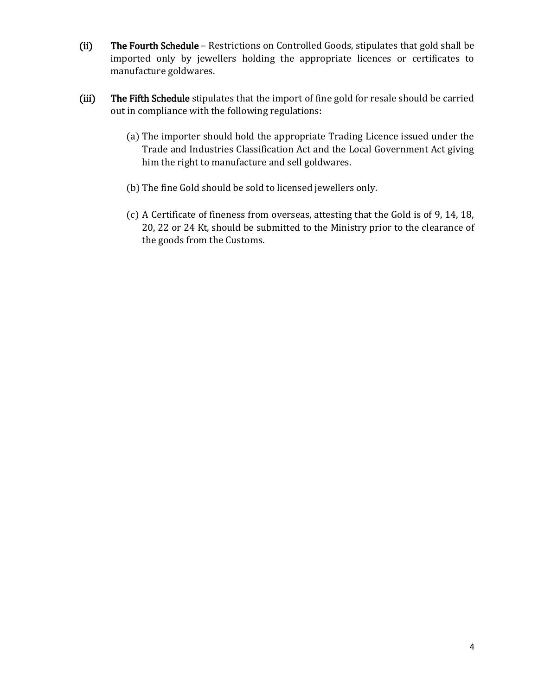- (ii) The Fourth Schedule Restrictions on Controlled Goods, stipulates that gold shall be imported only by jewellers holding the appropriate licences or certificates to manufacture goldwares.
- (iii) The Fifth Schedule stipulates that the import of fine gold for resale should be carried out in compliance with the following regulations:
	- (a) The importer should hold the appropriate Trading Licence issued under the Trade and Industries Classification Act and the Local Government Act giving him the right to manufacture and sell goldwares.
	- (b) The fine Gold should be sold to licensed jewellers only.
	- (c) A Certificate of fineness from overseas, attesting that the Gold is of 9, 14, 18, 20, 22 or 24 Kt, should be submitted to the Ministry prior to the clearance of the goods from the Customs.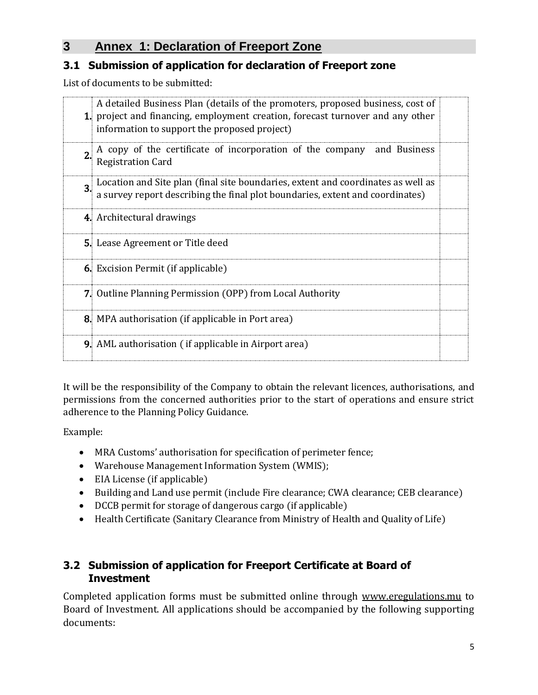#### <span id="page-6-0"></span>**3 Annex 1: Declaration of Freeport Zone**

#### <span id="page-6-1"></span>**3.1 Submission of application for declaration of Freeport zone**

List of documents to be submitted:

|                  | A detailed Business Plan (details of the promoters, proposed business, cost of<br>1. project and financing, employment creation, forecast turnover and any other<br>information to support the proposed project) |  |
|------------------|------------------------------------------------------------------------------------------------------------------------------------------------------------------------------------------------------------------|--|
| $\overline{2}$ . | A copy of the certificate of incorporation of the company and Business<br><b>Registration Card</b>                                                                                                               |  |
|                  | 3. Location and Site plan (final site boundaries, extent and coordinates as well as a survey report describing the final plot boundaries, extent and coordinates)                                                |  |
|                  | 4. Architectural drawings                                                                                                                                                                                        |  |
|                  | <b>5.</b> Lease Agreement or Title deed                                                                                                                                                                          |  |
|                  | <b>6.</b> Excision Permit (if applicable)                                                                                                                                                                        |  |
|                  | <b>7.</b> Outline Planning Permission (OPP) from Local Authority                                                                                                                                                 |  |
|                  | 8. MPA authorisation (if applicable in Port area)                                                                                                                                                                |  |
|                  | <b>9.</b> AML authorisation (if applicable in Airport area)                                                                                                                                                      |  |

It will be the responsibility of the Company to obtain the relevant licences, authorisations, and permissions from the concerned authorities prior to the start of operations and ensure strict adherence to the Planning Policy Guidance.

Example:

- MRA Customs' authorisation for specification of perimeter fence;
- Warehouse Management Information System (WMIS);
- EIA License (if applicable)
- Building and Land use permit (include Fire clearance; CWA clearance; CEB clearance)
- DCCB permit for storage of dangerous cargo (if applicable)
- Health Certificate (Sanitary Clearance from Ministry of Health and Quality of Life)

#### <span id="page-6-2"></span>**3.2 Submission of application for Freeport Certificate at Board of Investment**

Completed application forms must be submitted online through www.eregulations.mu to Board of Investment. All applications should be accompanied by the following supporting documents: